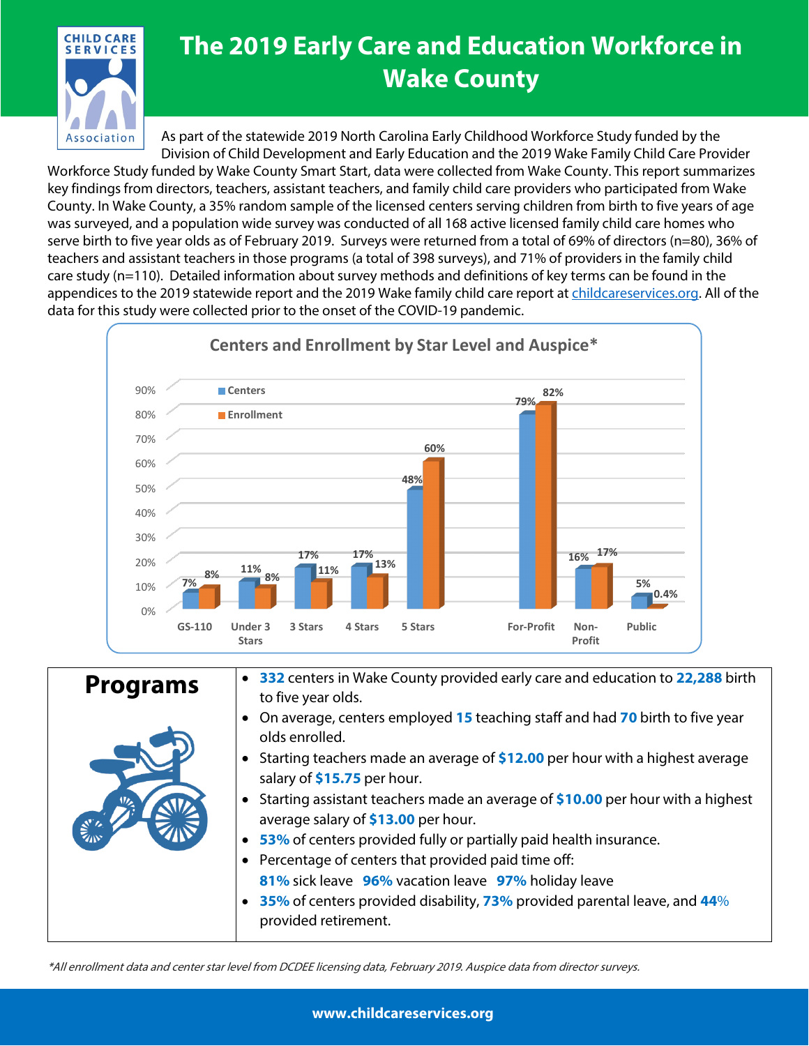

## **The 2019 Early Care and Education Workforce in Wake County**

As part of the statewide 2019 North Carolina Early Childhood Workforce Study funded by the Division of Child Development and Early Education and the 2019 Wake Family Child Care Provider Workforce Study funded by Wake County Smart Start, data were collected from Wake County. This report summarizes key findings from directors, teachers, assistant teachers, and family child care providers who participated from Wake County. In Wake County, a 35% random sample of the licensed centers serving children from birth to five years of age was surveyed, and a population wide survey was conducted of all 168 active licensed family child care homes who serve birth to five year olds as of February 2019. Surveys were returned from a total of 69% of directors (n=80), 36% of teachers and assistant teachers in those programs (a total of 398 surveys), and 71% of providers in the family child care study (n=110). Detailed information about survey methods and definitions of key terms can be found in the appendices to the 2019 statewide report and the 2019 Wake family child care report at [childcareservices.org.](https://www.childcareservices.org/) All of the data for this study were collected prior to the onset of the COVID-19 pandemic.



| <b>Programs</b>  | • 332 centers in Wake County provided early care and education to 22,288 birth<br>to five year olds.                               |
|------------------|------------------------------------------------------------------------------------------------------------------------------------|
|                  | On average, centers employed 15 teaching staff and had 70 birth to five year<br>olds enrolled.                                     |
|                  | • Starting teachers made an average of \$12.00 per hour with a highest average<br>salary of \$15.75 per hour.                      |
| $\sum_{i=1}^{n}$ | Starting assistant teachers made an average of \$10.00 per hour with a highest<br>$\bullet$<br>average salary of \$13.00 per hour. |
|                  | • 53% of centers provided fully or partially paid health insurance.                                                                |
|                  | Percentage of centers that provided paid time off:<br>81% sick leave 96% vacation leave 97% holiday leave                          |
|                  | 35% of centers provided disability, 73% provided parental leave, and 44%<br>provided retirement.                                   |

\*All enrollment data and center star level from DCDEE licensing data, February 2019. Auspice data from director surveys.

**www.childcareservices.org**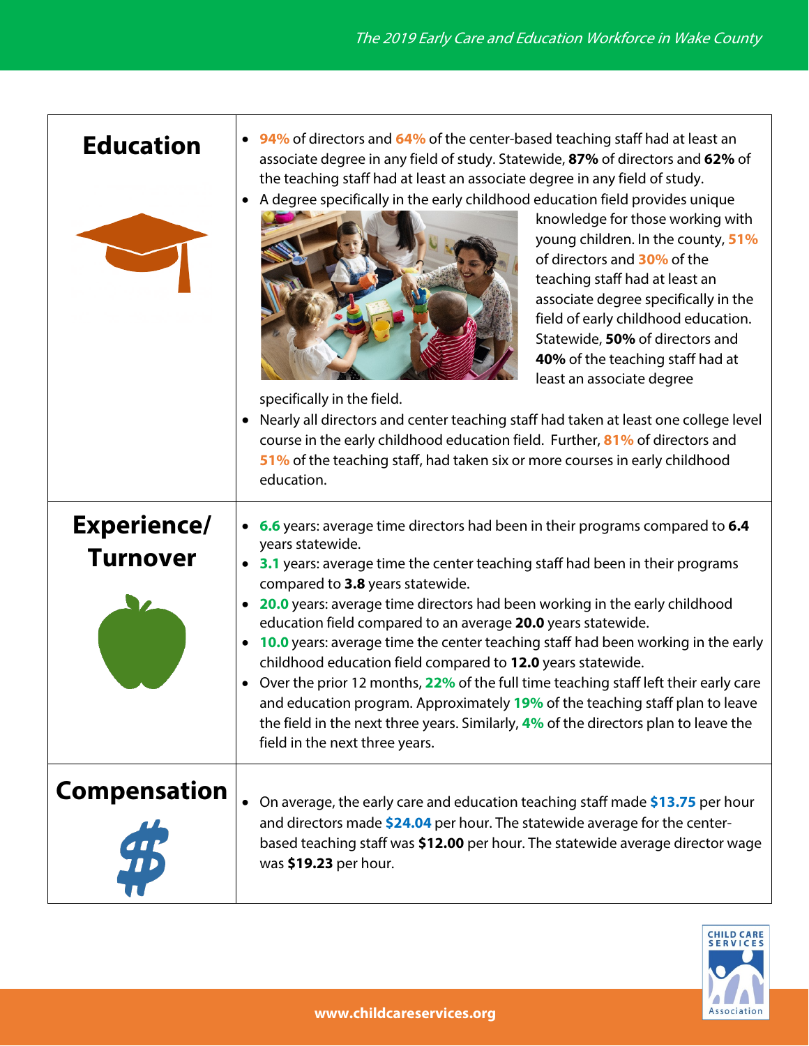| <b>Education</b>                      | 94% of directors and 64% of the center-based teaching staff had at least an<br>associate degree in any field of study. Statewide, 87% of directors and 62% of<br>the teaching staff had at least an associate degree in any field of study.<br>A degree specifically in the early childhood education field provides unique<br>$\bullet$<br>knowledge for those working with<br>young children. In the county, 51%<br>of directors and 30% of the<br>teaching staff had at least an<br>associate degree specifically in the<br>field of early childhood education.<br>Statewide, 50% of directors and<br>40% of the teaching staff had at<br>least an associate degree<br>specifically in the field.<br>Nearly all directors and center teaching staff had taken at least one college level<br>course in the early childhood education field. Further, 81% of directors and<br>51% of the teaching staff, had taken six or more courses in early childhood<br>education. |
|---------------------------------------|--------------------------------------------------------------------------------------------------------------------------------------------------------------------------------------------------------------------------------------------------------------------------------------------------------------------------------------------------------------------------------------------------------------------------------------------------------------------------------------------------------------------------------------------------------------------------------------------------------------------------------------------------------------------------------------------------------------------------------------------------------------------------------------------------------------------------------------------------------------------------------------------------------------------------------------------------------------------------|
| <b>Experience/</b><br><b>Turnover</b> | 6.6 years: average time directors had been in their programs compared to 6.4<br>years statewide.<br><b>3.1</b> years: average time the center teaching staff had been in their programs<br>$\bullet$<br>compared to 3.8 years statewide.<br>20.0 years: average time directors had been working in the early childhood<br>$\bullet$<br>education field compared to an average 20.0 years statewide.<br><b>10.0</b> years: average time the center teaching staff had been working in the early<br>$\bullet$<br>childhood education field compared to 12.0 years statewide.<br>Over the prior 12 months, 22% of the full time teaching staff left their early care<br>$\bullet$<br>and education program. Approximately 19% of the teaching staff plan to leave<br>the field in the next three years. Similarly, 4% of the directors plan to leave the<br>field in the next three years.                                                                                  |
| <b>Compensation</b>                   | On average, the early care and education teaching staff made \$13.75 per hour<br>$\bullet$<br>and directors made \$24.04 per hour. The statewide average for the center-<br>based teaching staff was \$12.00 per hour. The statewide average director wage<br>was \$19.23 per hour.                                                                                                                                                                                                                                                                                                                                                                                                                                                                                                                                                                                                                                                                                      |

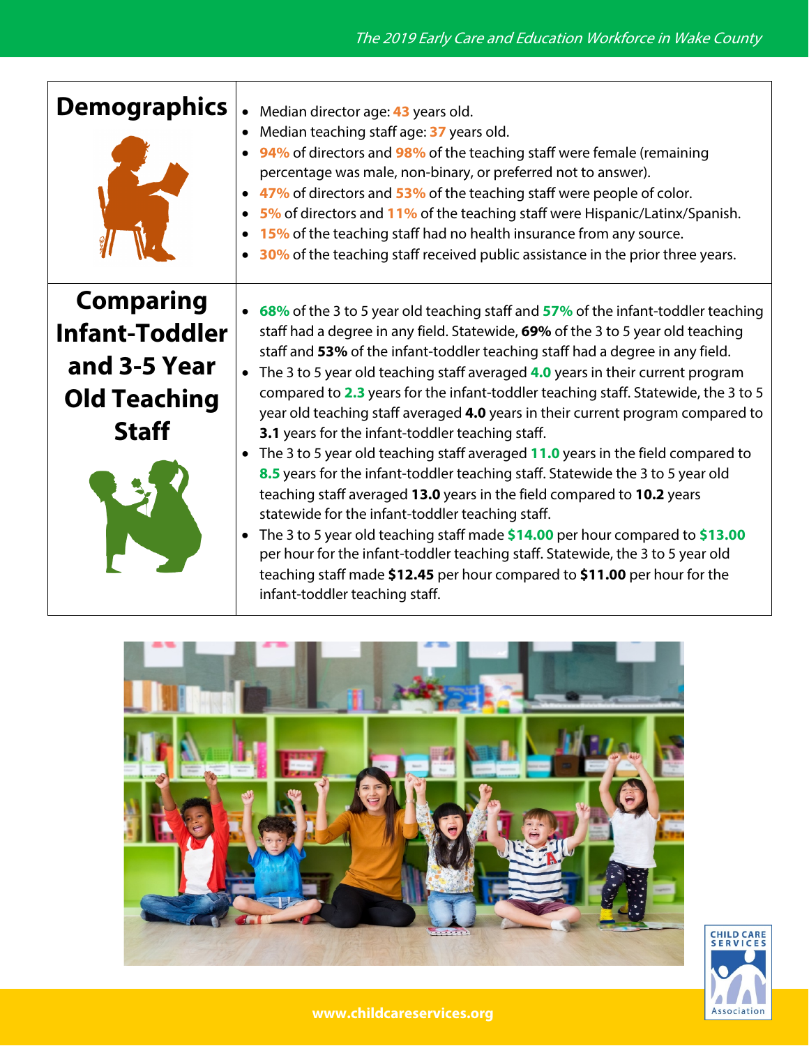| <b>Demographics</b>                                                                              | Median director age: 43 years old.<br>Median teaching staff age: 37 years old.<br>94% of directors and 98% of the teaching staff were female (remaining<br>percentage was male, non-binary, or preferred not to answer).<br>• 47% of directors and 53% of the teaching staff were people of color.<br>5% of directors and 11% of the teaching staff were Hispanic/Latinx/Spanish.<br>15% of the teaching staff had no health insurance from any source.<br>30% of the teaching staff received public assistance in the prior three years.                                                                                                                                                                                                                                                                                                                                                                                                                                                                                                                                                                                                                              |
|--------------------------------------------------------------------------------------------------|------------------------------------------------------------------------------------------------------------------------------------------------------------------------------------------------------------------------------------------------------------------------------------------------------------------------------------------------------------------------------------------------------------------------------------------------------------------------------------------------------------------------------------------------------------------------------------------------------------------------------------------------------------------------------------------------------------------------------------------------------------------------------------------------------------------------------------------------------------------------------------------------------------------------------------------------------------------------------------------------------------------------------------------------------------------------------------------------------------------------------------------------------------------------|
| <b>Comparing</b><br><b>Infant-Toddler</b><br>and 3-5 Year<br><b>Old Teaching</b><br><b>Staff</b> | 68% of the 3 to 5 year old teaching staff and 57% of the infant-toddler teaching<br>staff had a degree in any field. Statewide, 69% of the 3 to 5 year old teaching<br>staff and 53% of the infant-toddler teaching staff had a degree in any field.<br>The 3 to 5 year old teaching staff averaged 4.0 years in their current program<br>compared to 2.3 years for the infant-toddler teaching staff. Statewide, the 3 to 5<br>year old teaching staff averaged 4.0 years in their current program compared to<br>3.1 years for the infant-toddler teaching staff.<br>• The 3 to 5 year old teaching staff averaged 11.0 years in the field compared to<br>8.5 years for the infant-toddler teaching staff. Statewide the 3 to 5 year old<br>teaching staff averaged 13.0 years in the field compared to 10.2 years<br>statewide for the infant-toddler teaching staff.<br>The 3 to 5 year old teaching staff made \$14.00 per hour compared to \$13.00<br>$\bullet$<br>per hour for the infant-toddler teaching staff. Statewide, the 3 to 5 year old<br>teaching staff made \$12.45 per hour compared to \$11.00 per hour for the<br>infant-toddler teaching staff. |